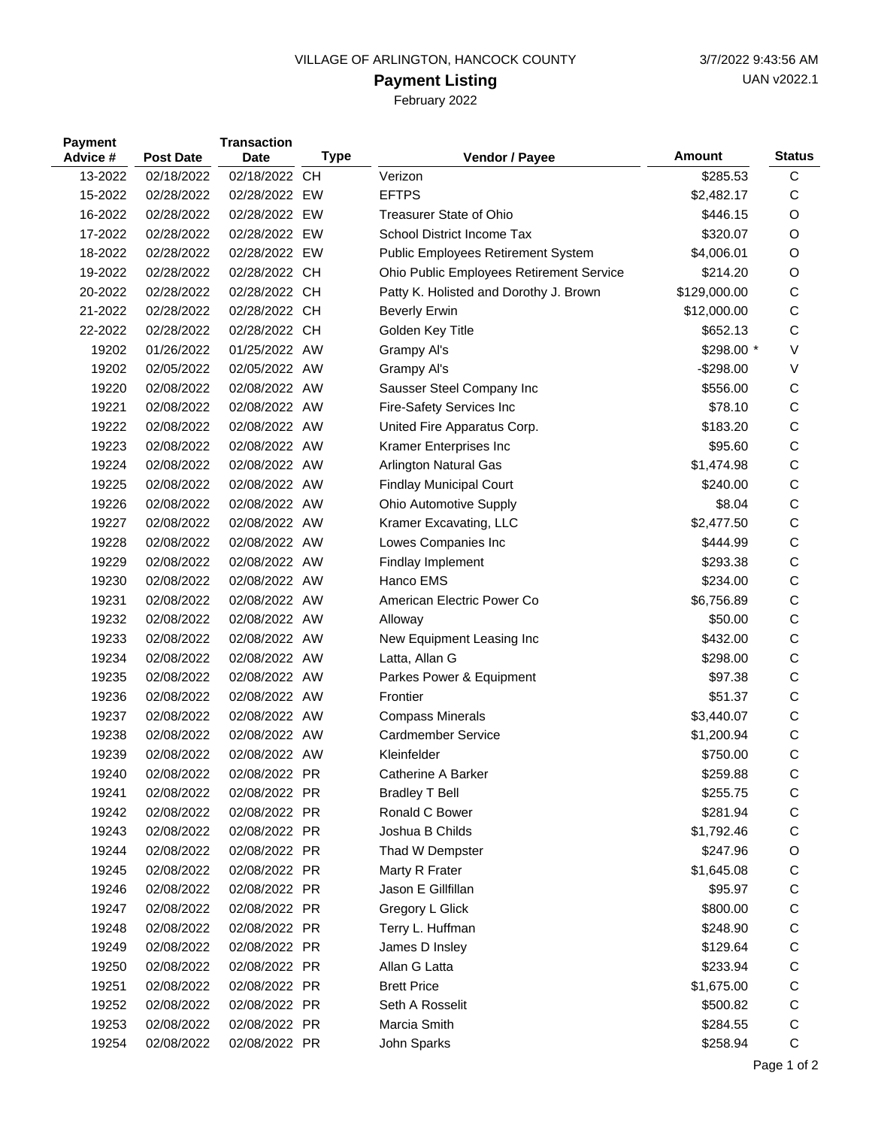## VILLAGE OF ARLINGTON, HANCOCK COUNTY 3/7/2022 9:43:56 AM

## **Payment Listing**

February 2022

| <b>Payment</b><br>Advice # | <b>Post Date</b> | <b>Transaction</b><br>Date | <b>Type</b> | Vendor / Payee                           | Amount       | <b>Status</b> |
|----------------------------|------------------|----------------------------|-------------|------------------------------------------|--------------|---------------|
| 13-2022                    | 02/18/2022       | 02/18/2022                 | <b>CH</b>   | Verizon                                  | \$285.53     | C             |
| 15-2022                    | 02/28/2022       | 02/28/2022 EW              |             | <b>EFTPS</b>                             | \$2,482.17   | С             |
| 16-2022                    | 02/28/2022       | 02/28/2022 EW              |             | <b>Treasurer State of Ohio</b>           | \$446.15     | O             |
| 17-2022                    | 02/28/2022       | 02/28/2022 EW              |             | School District Income Tax               | \$320.07     | O             |
| 18-2022                    | 02/28/2022       | 02/28/2022 EW              |             | Public Employees Retirement System       | \$4,006.01   | O             |
| 19-2022                    | 02/28/2022       | 02/28/2022 CH              |             | Ohio Public Employees Retirement Service | \$214.20     | O             |
| 20-2022                    | 02/28/2022       | 02/28/2022 CH              |             | Patty K. Holisted and Dorothy J. Brown   | \$129,000.00 | C             |
| 21-2022                    | 02/28/2022       | 02/28/2022 CH              |             | <b>Beverly Erwin</b>                     | \$12,000.00  | C             |
| 22-2022                    | 02/28/2022       | 02/28/2022 CH              |             | Golden Key Title                         | \$652.13     | C             |
| 19202                      | 01/26/2022       | 01/25/2022 AW              |             | Grampy Al's                              | \$298.00 *   | V             |
| 19202                      | 02/05/2022       | 02/05/2022 AW              |             | Grampy Al's                              | $-$298.00$   | V             |
| 19220                      | 02/08/2022       | 02/08/2022 AW              |             | Sausser Steel Company Inc                | \$556.00     | C             |
| 19221                      | 02/08/2022       | 02/08/2022 AW              |             | Fire-Safety Services Inc                 | \$78.10      | C             |
| 19222                      | 02/08/2022       | 02/08/2022 AW              |             | United Fire Apparatus Corp.              | \$183.20     | C             |
| 19223                      | 02/08/2022       | 02/08/2022 AW              |             | Kramer Enterprises Inc                   | \$95.60      | C             |
| 19224                      | 02/08/2022       | 02/08/2022 AW              |             | <b>Arlington Natural Gas</b>             | \$1,474.98   | C             |
| 19225                      | 02/08/2022       | 02/08/2022 AW              |             | Findlay Municipal Court                  | \$240.00     | C             |
| 19226                      | 02/08/2022       | 02/08/2022 AW              |             | Ohio Automotive Supply                   | \$8.04       | C             |
| 19227                      | 02/08/2022       | 02/08/2022 AW              |             | Kramer Excavating, LLC                   | \$2,477.50   | C             |
| 19228                      | 02/08/2022       | 02/08/2022 AW              |             | Lowes Companies Inc                      | \$444.99     | C             |
| 19229                      | 02/08/2022       | 02/08/2022 AW              |             | Findlay Implement                        | \$293.38     | C             |
| 19230                      | 02/08/2022       | 02/08/2022 AW              |             | Hanco EMS                                | \$234.00     | C             |
| 19231                      | 02/08/2022       | 02/08/2022 AW              |             | American Electric Power Co               | \$6,756.89   | C             |
| 19232                      | 02/08/2022       | 02/08/2022 AW              |             | Alloway                                  | \$50.00      | C             |
| 19233                      | 02/08/2022       | 02/08/2022 AW              |             | New Equipment Leasing Inc                | \$432.00     | C             |
| 19234                      | 02/08/2022       | 02/08/2022 AW              |             | Latta, Allan G                           | \$298.00     | C             |
| 19235                      | 02/08/2022       | 02/08/2022 AW              |             | Parkes Power & Equipment                 | \$97.38      | C             |
| 19236                      | 02/08/2022       | 02/08/2022 AW              |             | Frontier                                 | \$51.37      | C             |
| 19237                      | 02/08/2022       | 02/08/2022 AW              |             | <b>Compass Minerals</b>                  | \$3,440.07   | C             |
| 19238                      | 02/08/2022       | 02/08/2022 AW              |             | <b>Cardmember Service</b>                | \$1,200.94   | C             |
| 19239                      | 02/08/2022       | 02/08/2022 AW              |             | Kleinfelder                              | \$750.00     | C             |
| 19240                      | 02/08/2022       | 02/08/2022 PR              |             | Catherine A Barker                       | \$259.88     | С             |
| 19241                      | 02/08/2022       | 02/08/2022 PR              |             | <b>Bradley T Bell</b>                    | \$255.75     | С             |
| 19242                      | 02/08/2022       | 02/08/2022 PR              |             | Ronald C Bower                           | \$281.94     | С             |
| 19243                      | 02/08/2022       | 02/08/2022 PR              |             | Joshua B Childs                          | \$1,792.46   | С             |
| 19244                      | 02/08/2022       | 02/08/2022 PR              |             | Thad W Dempster                          | \$247.96     | O             |
| 19245                      | 02/08/2022       | 02/08/2022 PR              |             | Marty R Frater                           | \$1,645.08   | С             |
| 19246                      | 02/08/2022       | 02/08/2022 PR              |             | Jason E Gillfillan                       | \$95.97      | С             |
| 19247                      | 02/08/2022       | 02/08/2022 PR              |             | Gregory L Glick                          | \$800.00     | С             |
| 19248                      | 02/08/2022       | 02/08/2022 PR              |             | Terry L. Huffman                         | \$248.90     | С             |
| 19249                      | 02/08/2022       | 02/08/2022 PR              |             | James D Insley                           | \$129.64     | С             |
| 19250                      | 02/08/2022       | 02/08/2022 PR              |             | Allan G Latta                            | \$233.94     | С             |
| 19251                      | 02/08/2022       | 02/08/2022 PR              |             | <b>Brett Price</b>                       | \$1,675.00   | С             |
| 19252                      | 02/08/2022       | 02/08/2022 PR              |             | Seth A Rosselit                          | \$500.82     | С             |
| 19253                      | 02/08/2022       | 02/08/2022 PR              |             | Marcia Smith                             | \$284.55     | C             |
| 19254                      | 02/08/2022       | 02/08/2022 PR              |             | John Sparks                              | \$258.94     | $\mathsf C$   |